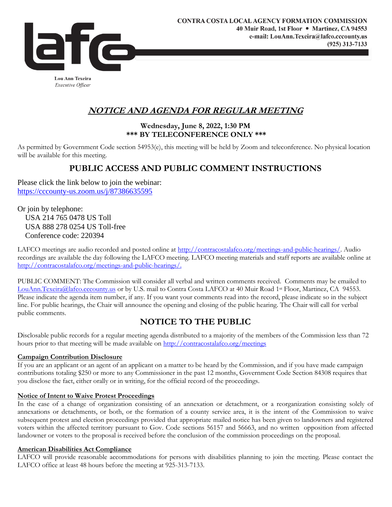

**Lou Ann Texeira** Executive Officer

## **NOTICE AND AGENDA FOR REGULAR MEETING**

#### **Wednesday, June 8, 2022, 1:30 PM \*\*\* BY TELECONFERENCE ONLY \*\*\***

As permitted by Government Code section 54953(e), this meeting will be held by Zoom and teleconference. No physical location will be available for this meeting.

# **PUBLIC ACCESS AND PUBLIC COMMENT INSTRUCTIONS**

Please click the link below to join the webinar: [https://cccounty-us.zoom.us/j/87386635595](https://gcc02.safelinks.protection.outlook.com/?url=https%3A%2F%2Fcccounty-us.zoom.us%2Fj%2F87386635595&data=05%7C01%7CLouAnn.Texeira%40lafco.cccounty.us%7C21720ff18ff54eed2e5108da43418f93%7C76c13a07612f4e06a2f4783d69dc4cdb%7C0%7C0%7C637896246113594259%7CUnknown%7CTWFpbGZsb3d8eyJWIjoiMC4wLjAwMDAiLCJQIjoiV2luMzIiLCJBTiI6Ik1haWwiLCJXVCI6Mn0%3D%7C3000%7C%7C%7C&sdata=F7ce6l6CmI83sy8zYZRU9zbzo95ndWa0j4x6WuaiP%2FA%3D&reserved=0)

Or join by telephone: USA 214 765 0478 US Toll USA 888 278 0254 US Toll-free Conference code: 220394

LAFCO meetings are audio recorded and posted online at [http://contracostalafco.org/meetings-and-public-hearings/.](http://contracostalafco.org/meetings-and-public-hearings/) Audio recordings are available the day following the LAFCO meeting. LAFCO meeting materials and staff reports are available online at [http://contracostalafco.org/meetings-and-public-hearings/.](http://contracostalafco.org/meetings-and-public-hearings/)

PUBLIC COMMENT: The Commission will consider all verbal and written comments received. Comments may be emailed to [LouAnn.Texeira@lafco.cccounty.us](mailto:LouAnn.Texeira@lafco.cccounty.us) or by U.S. mail to Contra Costa LAFCO at 40 Muir Road 1st Floor, Martinez, CA 94553. Please indicate the agenda item number, if any. If you want your comments read into the record, please indicate so in the subject line. For public hearings, the Chair will announce the opening and closing of the public hearing. The Chair will call for verbal public comments.

## **NOTICE TO THE PUBLIC**

Disclosable public records for a regular meeting agenda distributed to a majority of the members of the Commission less than 72 hours prior to that meeting will be made available on<http://contracostalafco.org/meetings>

#### **Campaign Contribution Disclosure**

If you are an applicant or an agent of an applicant on a matter to be heard by the Commission, and if you have made campaign contributions totaling \$250 or more to any Commissioner in the past 12 months, Government Code Section 84308 requires that you disclose the fact, either orally or in writing, for the official record of the proceedings.

#### **Notice of Intent to Waive Protest Proceedings**

In the case of a change of organization consisting of an annexation or detachment, or a reorganization consisting solely of annexations or detachments, or both, or the formation of a county service area, it is the intent of the Commission to waive subsequent protest and election proceedings provided that appropriate mailed notice has been given to landowners and registered voters within the affected territory pursuant to Gov. Code sections 56157 and 56663, and no written opposition from affected landowner or voters to the proposal is received before the conclusion of the commission proceedings on the proposal.

#### **American Disabilities Act Compliance**

LAFCO will provide reasonable accommodations for persons with disabilities planning to join the meeting. Please contact the LAFCO office at least 48 hours before the meeting at 925-313-7133.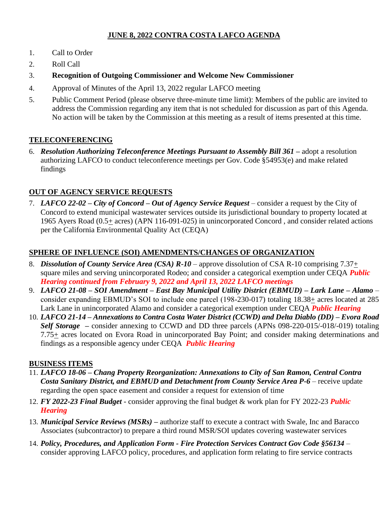### **JUNE 8, 2022 CONTRA COSTA LAFCO AGENDA**

- 1. Call to Order
- 2. Roll Call
- 3. **Recognition of Outgoing Commissioner and Welcome New Commissioner**
- 4. Approval of Minutes of the April 13, 2022 regular LAFCO meeting
- 5. Public Comment Period (please observe three-minute time limit): Members of the public are invited to address the Commission regarding any item that is not scheduled for discussion as part of this Agenda. No action will be taken by the Commission at this meeting as a result of items presented at this time.

### **TELECONFERENCING**

6. *Resolution Authorizing Teleconference Meetings Pursuant to Assembly Bill 361 –* adopt a resolution authorizing LAFCO to conduct teleconference meetings per Gov. Code §54953(e) and make related findings

## **OUT OF AGENCY SERVICE REQUESTS**

7. *LAFCO 22-02 – City of Concord – Out of Agency Service Request* – consider a request by the City of Concord to extend municipal wastewater services outside its jurisdictional boundary to property located at 1965 Ayers Road (0.5+ acres) (APN 116-091-025) in unincorporated Concord , and consider related actions per the California Environmental Quality Act (CEQA)

### **SPHERE OF INFLUENCE (SOI) AMENDMENTS/CHANGES OF ORGANIZATION**

- 8. *Dissolution of County Service Area (CSA) R-10* approve dissolution of CSA R-10 comprising 7.37+ square miles and serving unincorporated Rodeo; and consider a categorical exemption under CEQA *Public Hearing continued from February 9, 2022 and April 13, 2022 LAFCO meetings*
- 9. *LAFCO 21-08 – SOI Amendment – East Bay Municipal Utility District (EBMUD) – Lark Lane – Alamo*  consider expanding EBMUD's SOI to include one parcel (198-230-017) totaling 18.38+ acres located at 285 Lark Lane in unincorporated Alamo and consider a categorical exemption under CEQA *Public Hearing*
- 10. *LAFCO 21-14 – Annexations to Contra Costa Water District (CCWD) and Delta Diablo (DD) – Evora Road Self Storage –* consider annexing to CCWD and DD three parcels (APNs 098-220-015/-018/-019) totaling 7.75+ acres located on Evora Road in unincorporated Bay Point; and consider making determinations and findings as a responsible agency under CEQA *Public Hearing*

#### **BUSINESS ITEMS**

- 11. *LAFCO 18-06* **–** *Chang Property Reorganization: Annexations to City of San Ramon, Central Contra Costa Sanitary District, and EBMUD and Detachment from County Service Area P-6* – receive update regarding the open space easement and consider a request for extension of time
- 12. *FY 2022-23 Final Budget*  consider approving the final budget & work plan for FY 2022-23 *Public Hearing*
- 13. *Municipal Service Reviews (MSRs)* **–** authorize staff to execute a contract with Swale, Inc and Baracco Associates (subcontractor) to prepare a third round MSR/SOI updates covering wastewater services
- 14. *Policy, Procedures, and Application Form - Fire Protection Services Contract Gov Code §56134*  consider approving LAFCO policy, procedures, and application form relating to fire service contracts